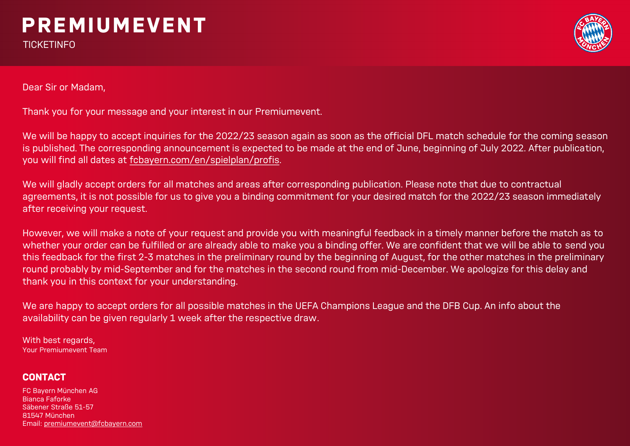# **PREMIUMEVENT**

**TICKETINFO** 



Dear Sir or Madam,

Thank you for your message and your interest in our Premiumevent.

We will be happy to accept inquiries for the 2022/23 season again as soon as the official DFL match schedule for the coming season is published. The corresponding announcement is expected to be made at the end of June, beginning of July 2022. After publication, you will find all dates at fcbayern.com/en/spielplan/profis.

We will gladly accept orders for all matches and areas after corresponding publication. Please note that due to contractual agreements, it is not possible for us to give you a binding commitment for your desired match for the 2022/23 season immediately after receiving your request.

However, we will make a note of your request and provide you with meaningful feedback in a timely manner before the match as to whether your order can be fulfilled or are already able to make you a binding offer. We are confident that we will be able to send you this feedback for the first 2-3 matches in the preliminary round by the beginning of August, for the other matches in the preliminary round probably by mid-September and for the matches in the second round from mid-December. We apologize for this delay and thank you in this context for your understanding.

We are happy to accept orders for all possible matches in the UEFA Champions League and the DFB Cup. An info about the availability can be given regularly 1 week after the respective draw.

With best regards, Your Premiumevent Team

### **CONTACT**

FC Bayern München AG Bianca Faforke Säbener Straße 51-57 81547 München Email: premiumevent@fcbayern.com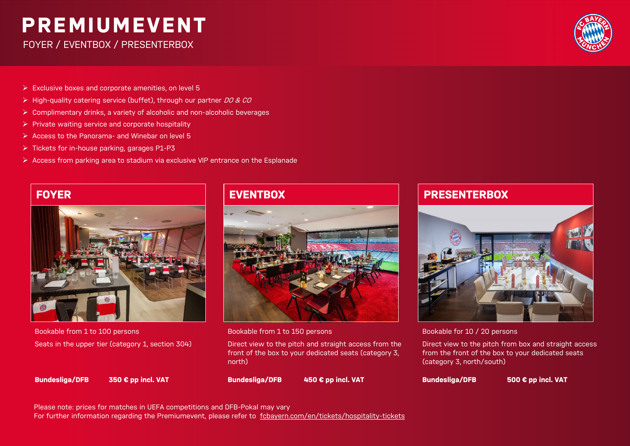## **PREMIUMEVENT**

FOYER / EVENTBOX / PRESENTERBOX



- ➢ Exclusive boxes and corporate amenities, on level 5
- $\triangleright$  High-quality catering service (buffet), through our partner DO & CO
- ➢ Complimentary drinks, a variety of alcoholic and non-alcoholic beverages
- ➢ Private waiting service and corporate hospitality
- ➢ Access to the Panorama- and Winebar on level 5
- ➢ Tickets for in-house parking, garages P1-P3
- $\triangleright$  Access from parking area to stadium via exclusive VIP entrance on the Esplanade.



Bookable from 1 to 100 persons Seats in the upper tier (category 1, section 304)



Bookable from 1 to 150 persons

Direct view to the pitch and straight access from the front of the box to your dedicated seats (category 3, north)

**Bundesliga/DFB 350 € pp incl. VAT**

**Bundesliga/DFB 450 € pp incl. VAT**

### **FOYER A EVENTBOX PRESENTERBOX FOYER EVENTBOX PRESENTERBOX**



Bookable for 10 / 20 persons

Direct view to the pitch from box and straight access from the front of the box to your dedicated seats (category 3, north/south)

**Bundesliga/DFB 500 € pp incl. VAT**

Please note: prices for matches in UEFA competitions and DFB-Pokal may vary For further information regarding the Premiumevent, please refer to [fcbayern.com/en/tickets/hospitality-tickets](https://fcbayern.com/en/tickets/hospitality-tickets)